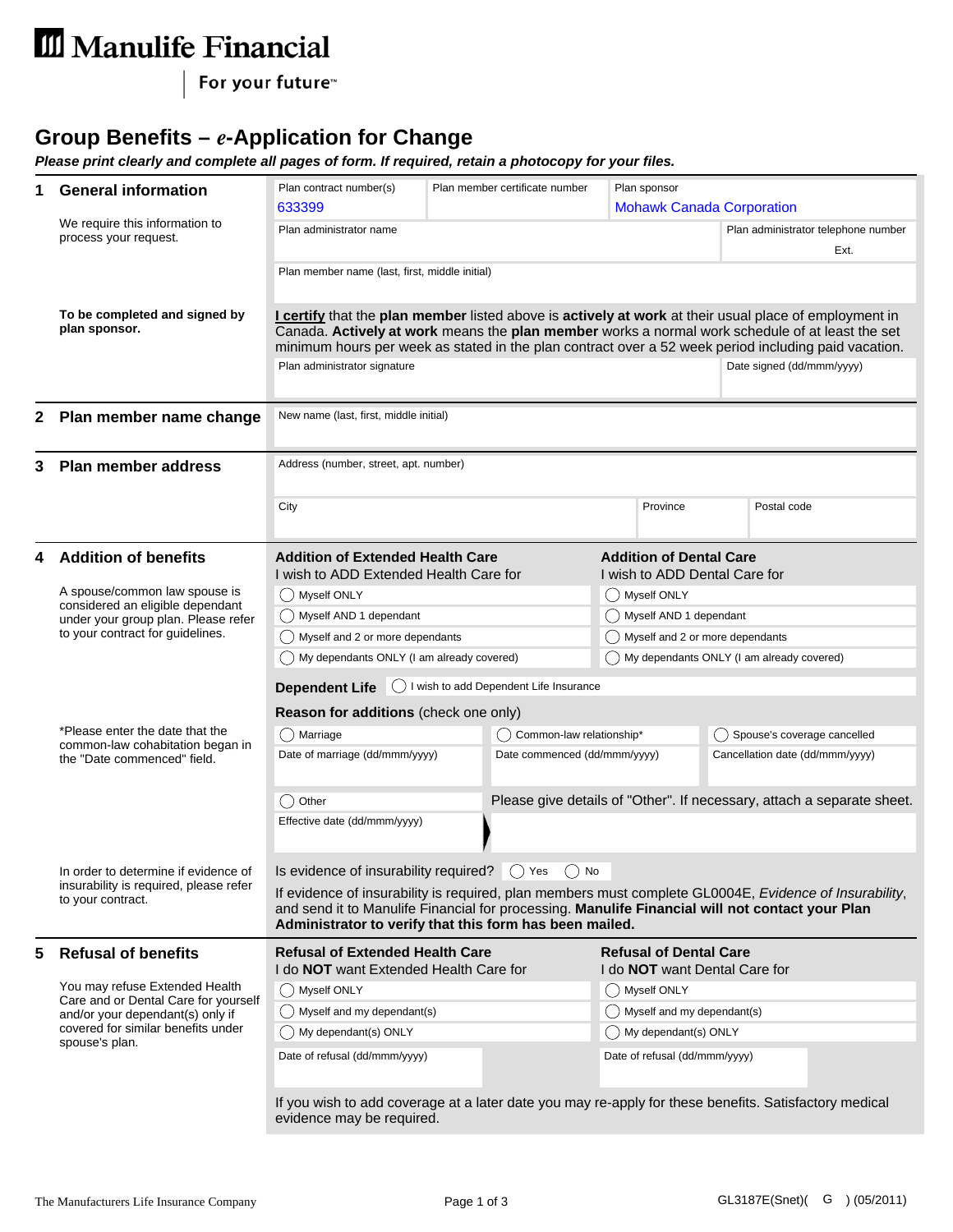## III Manulife Financial

For your future<sup>™</sup>

## **Group Benefits –** *e***-Application for Change**

*Please print clearly and complete all pages of form. If required, retain a photocopy for your files.*

| 1                            | <b>General information</b>                                                                                                                                         | Plan contract number(s)<br>Plan member certificate number<br>Plan sponsor                                                                                                                                 |                              |                                      |                                                                                                       |  |  |
|------------------------------|--------------------------------------------------------------------------------------------------------------------------------------------------------------------|-----------------------------------------------------------------------------------------------------------------------------------------------------------------------------------------------------------|------------------------------|--------------------------------------|-------------------------------------------------------------------------------------------------------|--|--|
|                              |                                                                                                                                                                    | 633399<br><b>Mohawk Canada Corporation</b>                                                                                                                                                                |                              |                                      |                                                                                                       |  |  |
|                              | We require this information to<br>process your request.                                                                                                            | Plan administrator name                                                                                                                                                                                   |                              |                                      | Plan administrator telephone number                                                                   |  |  |
|                              |                                                                                                                                                                    |                                                                                                                                                                                                           |                              |                                      | Ext.                                                                                                  |  |  |
|                              |                                                                                                                                                                    | Plan member name (last, first, middle initial)                                                                                                                                                            |                              |                                      |                                                                                                       |  |  |
|                              |                                                                                                                                                                    |                                                                                                                                                                                                           |                              |                                      |                                                                                                       |  |  |
|                              | To be completed and signed by                                                                                                                                      | I certify that the plan member listed above is actively at work at their usual place of employment in                                                                                                     |                              |                                      |                                                                                                       |  |  |
|                              | plan sponsor.                                                                                                                                                      | Canada. Actively at work means the plan member works a normal work schedule of at least the set                                                                                                           |                              |                                      |                                                                                                       |  |  |
|                              |                                                                                                                                                                    | minimum hours per week as stated in the plan contract over a 52 week period including paid vacation.                                                                                                      |                              |                                      |                                                                                                       |  |  |
|                              |                                                                                                                                                                    | Plan administrator signature                                                                                                                                                                              |                              |                                      | Date signed (dd/mmm/yyyy)                                                                             |  |  |
|                              |                                                                                                                                                                    |                                                                                                                                                                                                           |                              |                                      |                                                                                                       |  |  |
|                              | 2 Plan member name change                                                                                                                                          | New name (last, first, middle initial)                                                                                                                                                                    |                              |                                      |                                                                                                       |  |  |
|                              |                                                                                                                                                                    |                                                                                                                                                                                                           |                              |                                      |                                                                                                       |  |  |
|                              |                                                                                                                                                                    | Address (number, street, apt. number)                                                                                                                                                                     |                              |                                      |                                                                                                       |  |  |
| 3                            | <b>Plan member address</b>                                                                                                                                         |                                                                                                                                                                                                           |                              |                                      |                                                                                                       |  |  |
|                              |                                                                                                                                                                    | City                                                                                                                                                                                                      |                              | Province                             | Postal code                                                                                           |  |  |
|                              |                                                                                                                                                                    |                                                                                                                                                                                                           |                              |                                      |                                                                                                       |  |  |
|                              |                                                                                                                                                                    |                                                                                                                                                                                                           |                              |                                      |                                                                                                       |  |  |
|                              | <b>Addition of benefits</b>                                                                                                                                        | <b>Addition of Extended Health Care</b>                                                                                                                                                                   |                              | <b>Addition of Dental Care</b>       |                                                                                                       |  |  |
|                              | A spouse/common law spouse is                                                                                                                                      | I wish to ADD Extended Health Care for                                                                                                                                                                    |                              |                                      | I wish to ADD Dental Care for                                                                         |  |  |
|                              | considered an eligible dependant                                                                                                                                   | ◯ Myself ONLY                                                                                                                                                                                             |                              | () Myself ONLY                       |                                                                                                       |  |  |
|                              | under your group plan. Please refer                                                                                                                                | Myself AND 1 dependant                                                                                                                                                                                    |                              |                                      | ◯ Myself AND 1 dependant                                                                              |  |  |
|                              | to your contract for guidelines.                                                                                                                                   | () Myself and 2 or more dependants                                                                                                                                                                        |                              |                                      | ◯ Myself and 2 or more dependants                                                                     |  |  |
|                              |                                                                                                                                                                    | ◯ My dependants ONLY (I am already covered)<br>() My dependants ONLY (I am already covered)                                                                                                               |                              |                                      |                                                                                                       |  |  |
|                              |                                                                                                                                                                    | Dependent Life   U I wish to add Dependent Life Insurance                                                                                                                                                 |                              |                                      |                                                                                                       |  |  |
|                              |                                                                                                                                                                    | Reason for additions (check one only)                                                                                                                                                                     |                              |                                      |                                                                                                       |  |  |
|                              | *Please enter the date that the<br>common-law cohabitation began in<br>the "Date commenced" field.                                                                 | () Marriage<br>() Common-law relationship*                                                                                                                                                                |                              |                                      | () Spouse's coverage cancelled                                                                        |  |  |
|                              |                                                                                                                                                                    | Date of marriage (dd/mmm/yyyy)                                                                                                                                                                            | Date commenced (dd/mmm/yyyy) |                                      | Cancellation date (dd/mmm/yyyy)                                                                       |  |  |
|                              |                                                                                                                                                                    |                                                                                                                                                                                                           |                              |                                      |                                                                                                       |  |  |
|                              |                                                                                                                                                                    | () Other                                                                                                                                                                                                  |                              |                                      | Please give details of "Other". If necessary, attach a separate sheet.                                |  |  |
| Effective date (dd/mmm/yyyy) |                                                                                                                                                                    |                                                                                                                                                                                                           |                              |                                      |                                                                                                       |  |  |
|                              |                                                                                                                                                                    |                                                                                                                                                                                                           |                              |                                      |                                                                                                       |  |  |
|                              |                                                                                                                                                                    |                                                                                                                                                                                                           |                              |                                      |                                                                                                       |  |  |
|                              | In order to determine if evidence of<br>insurability is required, please refer<br>to your contract.                                                                | Is evidence of insurability required? ○ Yes ○ No                                                                                                                                                          |                              |                                      |                                                                                                       |  |  |
|                              |                                                                                                                                                                    | If evidence of insurability is required, plan members must complete GL0004E, Evidence of Insurability,<br>and send it to Manulife Financial for processing. Manulife Financial will not contact your Plan |                              |                                      |                                                                                                       |  |  |
|                              |                                                                                                                                                                    | Administrator to verify that this form has been mailed.                                                                                                                                                   |                              |                                      |                                                                                                       |  |  |
| 5                            | <b>Refusal of benefits</b>                                                                                                                                         | <b>Refusal of Extended Health Care</b><br><b>Refusal of Dental Care</b>                                                                                                                                   |                              |                                      |                                                                                                       |  |  |
|                              | You may refuse Extended Health<br>Care and or Dental Care for yourself<br>and/or your dependant(s) only if<br>covered for similar benefits under<br>spouse's plan. | I do NOT want Extended Health Care for                                                                                                                                                                    |                              | I do <b>NOT</b> want Dental Care for |                                                                                                       |  |  |
|                              |                                                                                                                                                                    | () Myself ONLY                                                                                                                                                                                            |                              | () Myself ONLY                       |                                                                                                       |  |  |
|                              |                                                                                                                                                                    | () Myself and my dependant(s)                                                                                                                                                                             |                              | () Myself and my dependant(s)        |                                                                                                       |  |  |
|                              |                                                                                                                                                                    | () My dependant(s) ONLY                                                                                                                                                                                   |                              |                                      | () My dependant(s) ONLY                                                                               |  |  |
|                              |                                                                                                                                                                    | Date of refusal (dd/mmm/yyyy)                                                                                                                                                                             |                              | Date of refusal (dd/mmm/yyyy)        |                                                                                                       |  |  |
|                              |                                                                                                                                                                    |                                                                                                                                                                                                           |                              |                                      |                                                                                                       |  |  |
|                              |                                                                                                                                                                    |                                                                                                                                                                                                           |                              |                                      |                                                                                                       |  |  |
|                              |                                                                                                                                                                    |                                                                                                                                                                                                           |                              |                                      | If you wish to add coverage at a later date you may re-apply for these benefits. Satisfactory medical |  |  |
|                              |                                                                                                                                                                    | evidence may be required.                                                                                                                                                                                 |                              |                                      |                                                                                                       |  |  |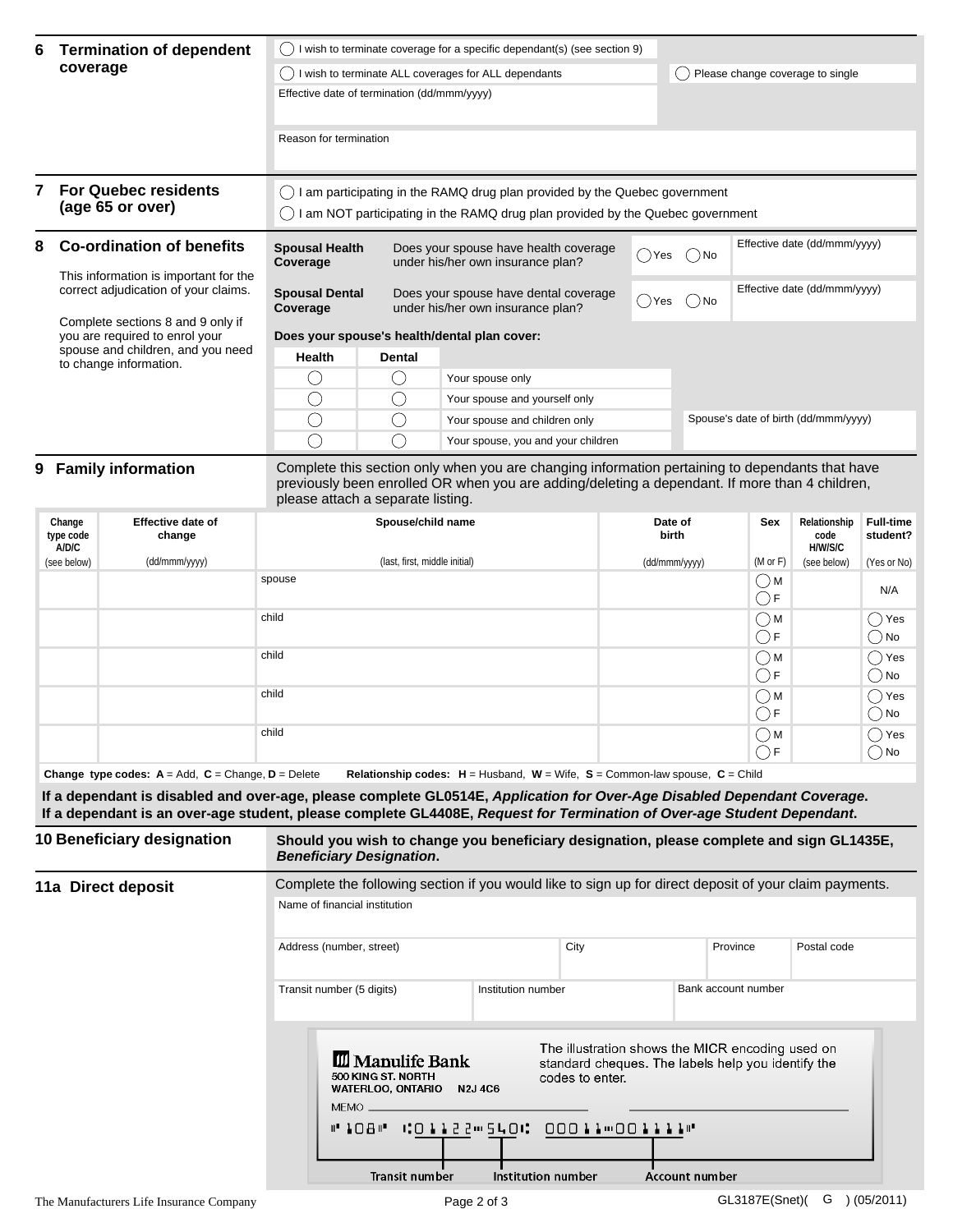| 6 | <b>Termination of dependent</b><br>coverage                                                                                                                                                                         | wish to terminate coverage for a specific dependant(s) (see section 9)                                                                                          |                                             |                                                                                     |                                  |          |                                      |  |
|---|---------------------------------------------------------------------------------------------------------------------------------------------------------------------------------------------------------------------|-----------------------------------------------------------------------------------------------------------------------------------------------------------------|---------------------------------------------|-------------------------------------------------------------------------------------|----------------------------------|----------|--------------------------------------|--|
|   |                                                                                                                                                                                                                     | I wish to terminate ALL coverages for ALL dependants                                                                                                            |                                             |                                                                                     | Please change coverage to single |          |                                      |  |
|   |                                                                                                                                                                                                                     | Effective date of termination (dd/mmm/yyyy)                                                                                                                     |                                             |                                                                                     |                                  |          |                                      |  |
|   |                                                                                                                                                                                                                     | Reason for termination                                                                                                                                          |                                             |                                                                                     |                                  |          |                                      |  |
|   | <b>For Quebec residents</b><br>(age 65 or over)                                                                                                                                                                     | () I am participating in the RAMQ drug plan provided by the Quebec government<br>I am NOT participating in the RAMQ drug plan provided by the Quebec government |                                             |                                                                                     |                                  |          |                                      |  |
| 8 | <b>Co-ordination of benefits</b>                                                                                                                                                                                    | <b>Spousal Health</b><br>Coverage                                                                                                                               |                                             | Does your spouse have health coverage<br>()Yes<br>under his/her own insurance plan? |                                  | $( )$ No | Effective date (dd/mmm/yyyy)         |  |
|   | This information is important for the<br>correct adjudication of your claims.<br>Complete sections 8 and 9 only if<br>you are required to enrol your<br>spouse and children, and you need<br>to change information. | Does your spouse have dental coverage<br><b>Spousal Dental</b><br>under his/her own insurance plan?<br>Coverage                                                 |                                             |                                                                                     | ()Yes                            | $()$ No  | Effective date (dd/mmm/yyyy)         |  |
|   |                                                                                                                                                                                                                     | Does your spouse's health/dental plan cover:                                                                                                                    |                                             |                                                                                     |                                  |          |                                      |  |
|   |                                                                                                                                                                                                                     | <b>Health</b>                                                                                                                                                   | <b>Dental</b>                               |                                                                                     |                                  |          |                                      |  |
|   |                                                                                                                                                                                                                     |                                                                                                                                                                 | $\left(\begin{array}{c} \end{array}\right)$ | Your spouse only                                                                    |                                  |          |                                      |  |
|   |                                                                                                                                                                                                                     |                                                                                                                                                                 | $(\ )$                                      | Your spouse and yourself only                                                       |                                  |          |                                      |  |
|   |                                                                                                                                                                                                                     |                                                                                                                                                                 |                                             | Your spouse and children only                                                       |                                  |          | Spouse's date of birth (dd/mmm/yyyy) |  |
|   |                                                                                                                                                                                                                     |                                                                                                                                                                 |                                             | Your spouse, you and your children                                                  |                                  |          |                                      |  |
|   | 9 Family information                                                                                                                                                                                                | Complete this section only when you are changing information pertaining to dependants that have                                                                 |                                             |                                                                                     |                                  |          |                                      |  |

previously been enrolled OR when you are adding/deleting a dependant. If more than 4 children, please attach a separate listing.

| Change<br>type code<br>A/D/C | <b>Effective date of</b><br>change | Spouse/child name             | Date of<br><b>birth</b> | Sex                          | Relationship<br>code<br>H/W/S/C | <b>Full-time</b><br>student? |
|------------------------------|------------------------------------|-------------------------------|-------------------------|------------------------------|---------------------------------|------------------------------|
| (see below)                  | (dd/mmm/yyyy)                      | (last, first, middle initial) | (dd/mmm/yyyy)           | $(M \text{ or } F)$          | (see below)                     | (Yes or No)                  |
|                              |                                    | spouse                        |                         | $\bigcirc$ M<br>$\bigcirc$ F |                                 | N/A                          |
|                              |                                    | child                         |                         | $\bigcirc$ M<br>$\bigcirc$ F |                                 | ()Yes<br>) No                |
|                              |                                    | child                         |                         | $\bigcirc$ M<br>$\bigcirc$ F |                                 | Yes (<br>()No                |
|                              |                                    | child                         |                         | $\bigcirc$ M<br>$\bigcirc$ F |                                 | ()Yes<br>) No                |
|                              |                                    | child                         |                         | $\bigcirc$ M<br>$\bigcirc$ F |                                 | Yes (<br>) No                |

**Change type codes: A** = Add, **C** = Change, **D** = Delete **Relationship codes: H** = Husband, **W** = Wife, **S** = Common-law spouse, **C** = Child

**If a dependant is disabled and over-age, please complete GL0514E,** *Application for Over-Age Disabled Dependant Coverage***. If a dependant is an over-age student, please complete GL4408E,** *Request for Termination of Over-age Student Dependant***.**

| 10 Beneficiary designation | Should you wish to change you beneficiary designation, please complete and sign GL1435E,<br><b>Beneficiary Designation.</b>                                                                                                 |                    |                       |                     |             |  |  |
|----------------------------|-----------------------------------------------------------------------------------------------------------------------------------------------------------------------------------------------------------------------------|--------------------|-----------------------|---------------------|-------------|--|--|
| 11a Direct deposit         | Complete the following section if you would like to sign up for direct deposit of your claim payments.                                                                                                                      |                    |                       |                     |             |  |  |
|                            | Name of financial institution                                                                                                                                                                                               |                    |                       |                     |             |  |  |
|                            | Address (number, street)                                                                                                                                                                                                    |                    | City                  | Province            | Postal code |  |  |
|                            | Transit number (5 digits)                                                                                                                                                                                                   | Institution number |                       | Bank account number |             |  |  |
|                            | The illustration shows the MICR encoding used on<br><b>III</b> Manulife Bank<br>standard cheques. The labels help you identify the<br>500 KING ST. NORTH<br>codes to enter.<br><b>N2J 4C6</b><br>WATERLOO, ONTARIO<br>MEMO. |                    |                       |                     |             |  |  |
|                            | #"108#" #01122#540# 00011#00111#"<br>Transit number                                                                                                                                                                         | Institution number | <b>Account number</b> |                     |             |  |  |